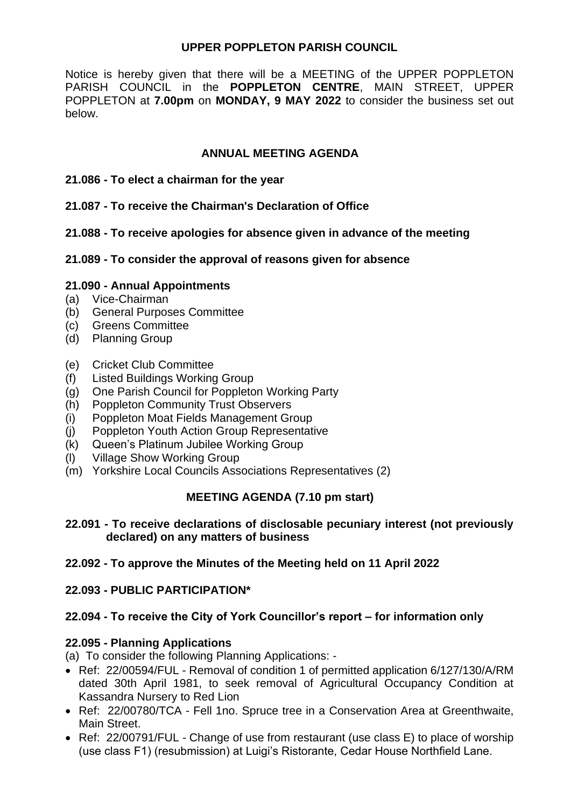## **UPPER POPPLETON PARISH COUNCIL**

Notice is hereby given that there will be a MEETING of the UPPER POPPLETON PARISH COUNCIL in the **POPPLETON CENTRE**, MAIN STREET, UPPER POPPLETON at **7.00pm** on **MONDAY, 9 MAY 2022** to consider the business set out below.

## **ANNUAL MEETING AGENDA**

- **21.086 - To elect a chairman for the year**
- **21.087 - To receive the Chairman's Declaration of Office**
- **21.088 - To receive apologies for absence given in advance of the meeting**

## **21.089 - To consider the approval of reasons given for absence**

## **21.090 - Annual Appointments**

- (a) Vice-Chairman
- (b) General Purposes Committee
- (c) Greens Committee
- (d) Planning Group
- (e) Cricket Club Committee
- (f) Listed Buildings Working Group
- (g) One Parish Council for Poppleton Working Party
- (h) Poppleton Community Trust Observers
- (i) Poppleton Moat Fields Management Group
- (j) Poppleton Youth Action Group Representative
- (k) Queen's Platinum Jubilee Working Group
- (l) Village Show Working Group
- (m) Yorkshire Local Councils Associations Representatives (2)

# **MEETING AGENDA (7.10 pm start)**

- **22.091 - To receive declarations of disclosable pecuniary interest (not previously declared) on any matters of business**
- **22.092 - To approve the Minutes of the Meeting held on 11 April 2022**
- **22.093 - PUBLIC PARTICIPATION\***

# **22.094 - To receive the City of York Councillor's report – for information only**

# **22.095 - Planning Applications**

(a) To consider the following Planning Applications: -

- Ref: 22/00594/FUL Removal of condition 1 of permitted application 6/127/130/A/RM dated 30th April 1981, to seek removal of Agricultural Occupancy Condition at Kassandra Nursery to Red Lion
- Ref: 22/00780/TCA Fell 1no. Spruce tree in a Conservation Area at Greenthwaite. Main Street.
- Ref: 22/00791/FUL Change of use from restaurant (use class E) to place of worship (use class F1) (resubmission) at Luigi's Ristorante, Cedar House Northfield Lane.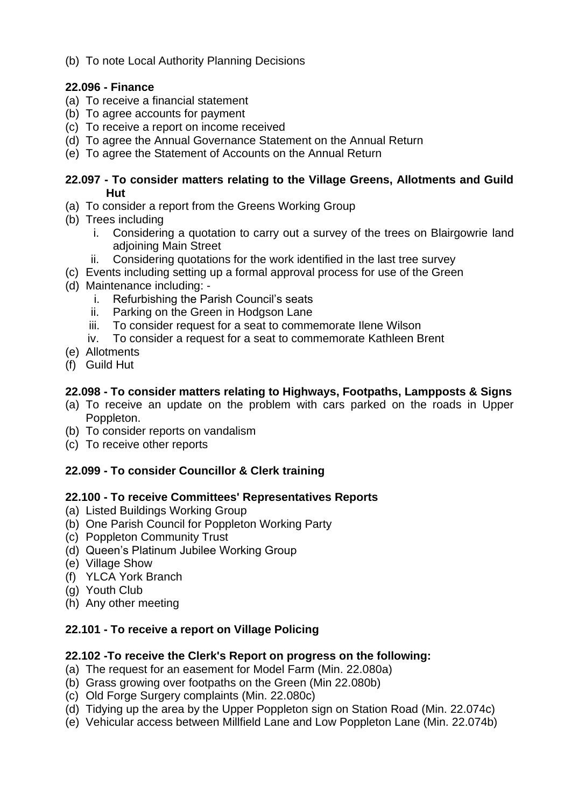(b) To note Local Authority Planning Decisions

# **22.096 - Finance**

- (a) To receive a financial statement
- (b) To agree accounts for payment
- (c) To receive a report on income received
- (d) To agree the Annual Governance Statement on the Annual Return
- (e) To agree the Statement of Accounts on the Annual Return

### **22.097 - To consider matters relating to the Village Greens, Allotments and Guild Hut**

- (a) To consider a report from the Greens Working Group
- (b) Trees including
	- i. Considering a quotation to carry out a survey of the trees on Blairgowrie land adjoining Main Street
	- ii. Considering quotations for the work identified in the last tree survey
- (c) Events including setting up a formal approval process for use of the Green
- (d) Maintenance including:
	- i. Refurbishing the Parish Council's seats
	- ii. Parking on the Green in Hodgson Lane
	- iii. To consider request for a seat to commemorate Ilene Wilson
	- iv. To consider a request for a seat to commemorate Kathleen Brent
- (e) Allotments
- (f) Guild Hut

## **22.098 - To consider matters relating to Highways, Footpaths, Lampposts & Signs**

- (a) To receive an update on the problem with cars parked on the roads in Upper Poppleton.
- (b) To consider reports on vandalism
- (c) To receive other reports

# **22.099 - To consider Councillor & Clerk training**

### **22.100 - To receive Committees' Representatives Reports**

- (a) Listed Buildings Working Group
- (b) One Parish Council for Poppleton Working Party
- (c) Poppleton Community Trust
- (d) Queen's Platinum Jubilee Working Group
- (e) Village Show
- (f) YLCA York Branch
- (g) Youth Club
- (h) Any other meeting

# **22.101 - To receive a report on Village Policing**

### **22.102 -To receive the Clerk's Report on progress on the following:**

- (a) The request for an easement for Model Farm (Min. 22.080a)
- (b) Grass growing over footpaths on the Green (Min 22.080b)
- (c) Old Forge Surgery complaints (Min. 22.080c)
- (d) Tidying up the area by the Upper Poppleton sign on Station Road (Min. 22.074c)
- (e) Vehicular access between Millfield Lane and Low Poppleton Lane (Min. 22.074b)